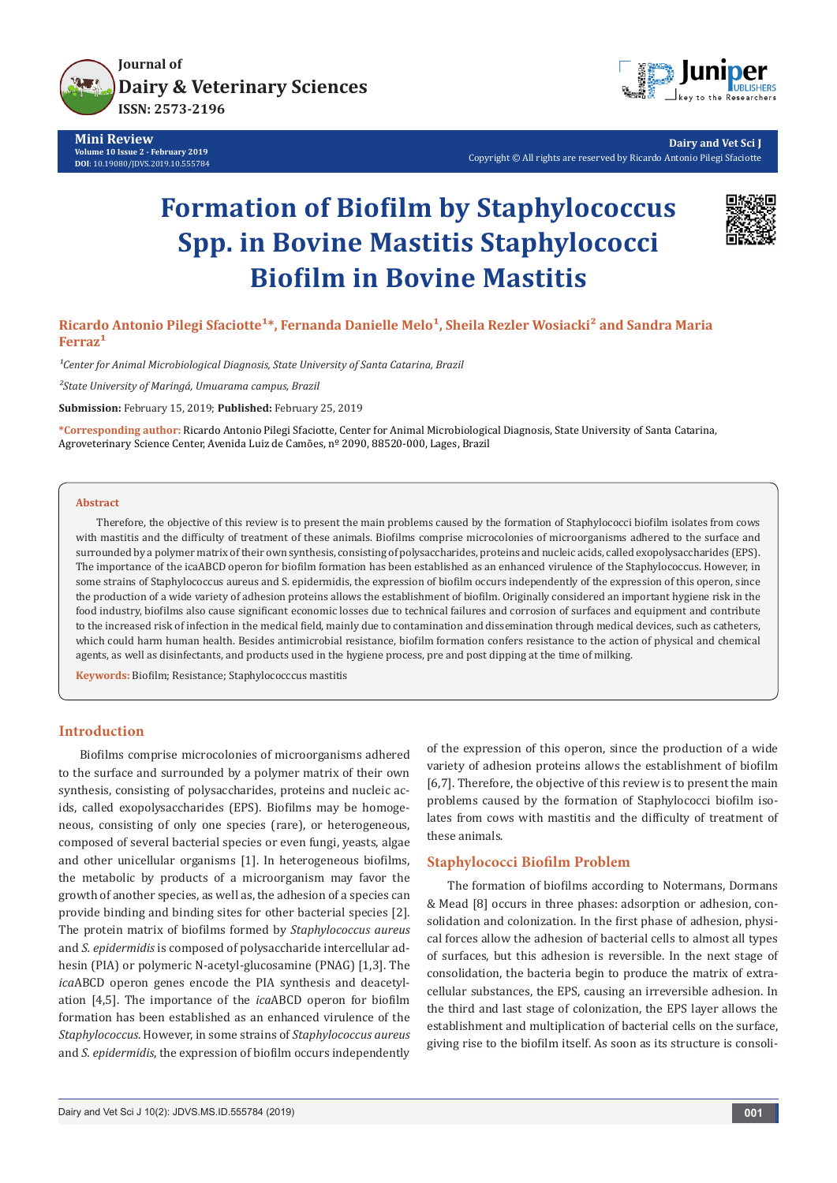

**Mini Review Volume 10 Issue 2 - February 2019 DOI**: [10.19080/JDVS.2019.10.555784](http://dx.doi.org/10.19080/JDVS.2019.10.555784)



**Dairy and Vet Sci J** Copyright © All rights are reserved by Ricardo Antonio Pilegi Sfaciotte

# **Formation of Biofilm by Staphylococcus Spp. in Bovine Mastitis Staphylococci Biofilm in Bovine Mastitis**



Ricardo Antonio Pilegi Sfaciotte<sup>1\*</sup>, Fernanda Danielle Melo<sup>1</sup>, Sheila Rezler Wosiacki<sup>2</sup> and Sandra Maria Ferraz<sup>1</sup>

<sup>1</sup>Center for Animal Microbiological Diagnosis, State University of Santa Catarina, Brazil

*²State University of Maringá, Umuarama campus, Brazil*

**Submission:** February 15, 2019; **Published:** February 25, 2019

**\*Corresponding author:** Ricardo Antonio Pilegi Sfaciotte, Center for Animal Microbiological Diagnosis, State University of Santa Catarina, Agroveterinary Science Center, Avenida Luiz de Camões, nº 2090, 88520-000, Lages, Brazil

#### **Abstract**

Therefore, the objective of this review is to present the main problems caused by the formation of Staphylococci biofilm isolates from cows with mastitis and the difficulty of treatment of these animals. Biofilms comprise microcolonies of microorganisms adhered to the surface and surrounded by a polymer matrix of their own synthesis, consisting of polysaccharides, proteins and nucleic acids, called exopolysaccharides (EPS). The importance of the icaABCD operon for biofilm formation has been established as an enhanced virulence of the Staphylococcus. However, in some strains of Staphylococcus aureus and S. epidermidis, the expression of biofilm occurs independently of the expression of this operon, since the production of a wide variety of adhesion proteins allows the establishment of biofilm. Originally considered an important hygiene risk in the food industry, biofilms also cause significant economic losses due to technical failures and corrosion of surfaces and equipment and contribute to the increased risk of infection in the medical field, mainly due to contamination and dissemination through medical devices, such as catheters, which could harm human health. Besides antimicrobial resistance, biofilm formation confers resistance to the action of physical and chemical agents, as well as disinfectants, and products used in the hygiene process, pre and post dipping at the time of milking.

**Keywords:** Biofilm; Resistance; Staphylococccus mastitis

# **Introduction**

Biofilms comprise microcolonies of microorganisms adhered to the surface and surrounded by a polymer matrix of their own synthesis, consisting of polysaccharides, proteins and nucleic acids, called exopolysaccharides (EPS). Biofilms may be homogeneous, consisting of only one species (rare), or heterogeneous, composed of several bacterial species or even fungi, yeasts, algae and other unicellular organisms [1]. In heterogeneous biofilms, the metabolic by products of a microorganism may favor the growth of another species, as well as, the adhesion of a species can provide binding and binding sites for other bacterial species [2]. The protein matrix of biofilms formed by *Staphylococcus aureus* and *S. epidermidis* is composed of polysaccharide intercellular adhesin (PIA) or polymeric N-acetyl-glucosamine (PNAG) [1,3]. The *ica*ABCD operon genes encode the PIA synthesis and deacetylation [4,5]. The importance of the *ica*ABCD operon for biofilm formation has been established as an enhanced virulence of the *Staphylococcus*. However, in some strains of *Staphylococcus aureus* and *S. epidermidis*, the expression of biofilm occurs independently of the expression of this operon, since the production of a wide variety of adhesion proteins allows the establishment of biofilm [6,7]. Therefore, the objective of this review is to present the main problems caused by the formation of Staphylococci biofilm isolates from cows with mastitis and the difficulty of treatment of these animals.

## **Staphylococci Biofilm Problem**

The formation of biofilms according to Notermans, Dormans & Mead [8] occurs in three phases: adsorption or adhesion, consolidation and colonization. In the first phase of adhesion, physical forces allow the adhesion of bacterial cells to almost all types of surfaces, but this adhesion is reversible. In the next stage of consolidation, the bacteria begin to produce the matrix of extracellular substances, the EPS, causing an irreversible adhesion. In the third and last stage of colonization, the EPS layer allows the establishment and multiplication of bacterial cells on the surface, giving rise to the biofilm itself. As soon as its structure is consoli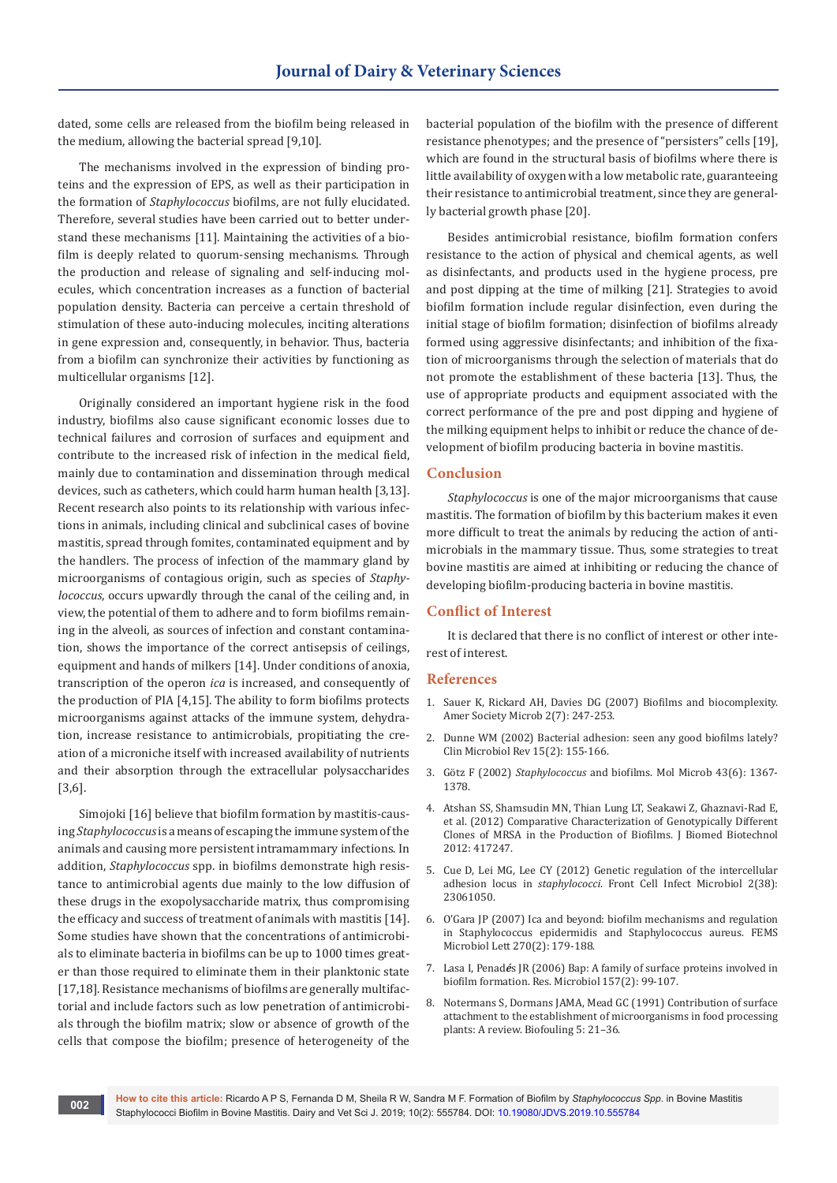dated, some cells are released from the biofilm being released in the medium, allowing the bacterial spread [9,10].

The mechanisms involved in the expression of binding proteins and the expression of EPS, as well as their participation in the formation of *Staphylococcus* biofilms, are not fully elucidated. Therefore, several studies have been carried out to better understand these mechanisms [11]. Maintaining the activities of a biofilm is deeply related to quorum-sensing mechanisms. Through the production and release of signaling and self-inducing molecules, which concentration increases as a function of bacterial population density. Bacteria can perceive a certain threshold of stimulation of these auto-inducing molecules, inciting alterations in gene expression and, consequently, in behavior. Thus, bacteria from a biofilm can synchronize their activities by functioning as multicellular organisms [12].

Originally considered an important hygiene risk in the food industry, biofilms also cause significant economic losses due to technical failures and corrosion of surfaces and equipment and contribute to the increased risk of infection in the medical field, mainly due to contamination and dissemination through medical devices, such as catheters, which could harm human health [3,13]. Recent research also points to its relationship with various infections in animals, including clinical and subclinical cases of bovine mastitis, spread through fomites, contaminated equipment and by the handlers. The process of infection of the mammary gland by microorganisms of contagious origin, such as species of *Staphylococcus*, occurs upwardly through the canal of the ceiling and, in view, the potential of them to adhere and to form biofilms remaining in the alveoli, as sources of infection and constant contamination, shows the importance of the correct antisepsis of ceilings, equipment and hands of milkers [14]. Under conditions of anoxia, transcription of the operon *ica* is increased, and consequently of the production of PIA [4,15]. The ability to form biofilms protects microorganisms against attacks of the immune system, dehydration, increase resistance to antimicrobials, propitiating the creation of a microniche itself with increased availability of nutrients and their absorption through the extracellular polysaccharides [3,6].

Simojoki [16] believe that biofilm formation by mastitis-causing *Staphylococcus* is a means of escaping the immune system of the animals and causing more persistent intramammary infections. In addition, *Staphylococcus* spp. in biofilms demonstrate high resistance to antimicrobial agents due mainly to the low diffusion of these drugs in the exopolysaccharide matrix, thus compromising the efficacy and success of treatment of animals with mastitis [14]. Some studies have shown that the concentrations of antimicrobials to eliminate bacteria in biofilms can be up to 1000 times greater than those required to eliminate them in their planktonic state [17,18]. Resistance mechanisms of biofilms are generally multifactorial and include factors such as low penetration of antimicrobials through the biofilm matrix; slow or absence of growth of the cells that compose the biofilm; presence of heterogeneity of the

bacterial population of the biofilm with the presence of different resistance phenotypes; and the presence of "persisters" cells [19], which are found in the structural basis of biofilms where there is little availability of oxygen with a low metabolic rate, guaranteeing their resistance to antimicrobial treatment, since they are generally bacterial growth phase [20].

Besides antimicrobial resistance, biofilm formation confers resistance to the action of physical and chemical agents, as well as disinfectants, and products used in the hygiene process, pre and post dipping at the time of milking [21]. Strategies to avoid biofilm formation include regular disinfection, even during the initial stage of biofilm formation; disinfection of biofilms already formed using aggressive disinfectants; and inhibition of the fixation of microorganisms through the selection of materials that do not promote the establishment of these bacteria [13]. Thus, the use of appropriate products and equipment associated with the correct performance of the pre and post dipping and hygiene of the milking equipment helps to inhibit or reduce the chance of development of biofilm producing bacteria in bovine mastitis.

# **Conclusion**

*Staphylococcus* is one of the major microorganisms that cause mastitis. The formation of biofilm by this bacterium makes it even more difficult to treat the animals by reducing the action of antimicrobials in the mammary tissue. Thus, some strategies to treat bovine mastitis are aimed at inhibiting or reducing the chance of developing biofilm-producing bacteria in bovine mastitis.

## **Conflict of Interest**

It is declared that there is no conflict of interest or other interest of interest.

#### **References**

- 1. Sauer K, Rickard AH, Davies DG (2007) Biofilms and biocomplexity. Amer Society Microb 2(7): 247-253.
- 2. Dunne WM (2002) Bacterial adhesion: seen any good biofilms lately? Clin Microbiol Rev 15(2): 155-166.
- 3. Götz F (2002) *Staphylococcus* [and biofilms. Mol Microb 43\(6\): 1367-](https://www.ncbi.nlm.nih.gov/pubmed/11952892) [1378.](https://www.ncbi.nlm.nih.gov/pubmed/11952892)
- 4. [Atshan SS, Shamsudin MN, Thian Lung LT, Seakawi Z, Ghaznavi-Rad E,](https://www.ncbi.nlm.nih.gov/pubmed/22529705)  [et al. \(2012\) Comparative Characterization of Genotypically Different](https://www.ncbi.nlm.nih.gov/pubmed/22529705)  [Clones of MRSA in the Production of Biofilms. J Biomed Biotechnol](https://www.ncbi.nlm.nih.gov/pubmed/22529705)  [2012: 417247.](https://www.ncbi.nlm.nih.gov/pubmed/22529705)
- 5. [Cue D, Lei MG, Lee CY \(2012\) Genetic regulation of the intercellular](https://www.ncbi.nlm.nih.gov/pubmed/23061050)  adhesion locus in *staphylococci*. Front Cell Infect Microbiol 2(38): [23061050.](https://www.ncbi.nlm.nih.gov/pubmed/23061050)
- 6. [O'Gara JP \(2007\) Ica and beyond: biofilm mechanisms and regulation](https://www.ncbi.nlm.nih.gov/pubmed/17419768)  in Staphylococcus epidermidis and [Staphylococcus aureus. FEMS](https://www.ncbi.nlm.nih.gov/pubmed/17419768)  Microbiol Lett [270\(2\): 179-188.](https://www.ncbi.nlm.nih.gov/pubmed/17419768)
- 7. Lasa I, Penad*é*[s JR \(2006\) Bap: A family of surface proteins involved in](https://www.ncbi.nlm.nih.gov/pubmed/16427771)  [biofilm formation. Res. Microbiol 157\(2\): 99-107.](https://www.ncbi.nlm.nih.gov/pubmed/16427771)
- 8. Notermans S, Dormans JAMA, Mead GC (1991) Contribution of surface attachment to the establishment of microorganisms in food processing plants: A review. Biofouling 5: 21–36.